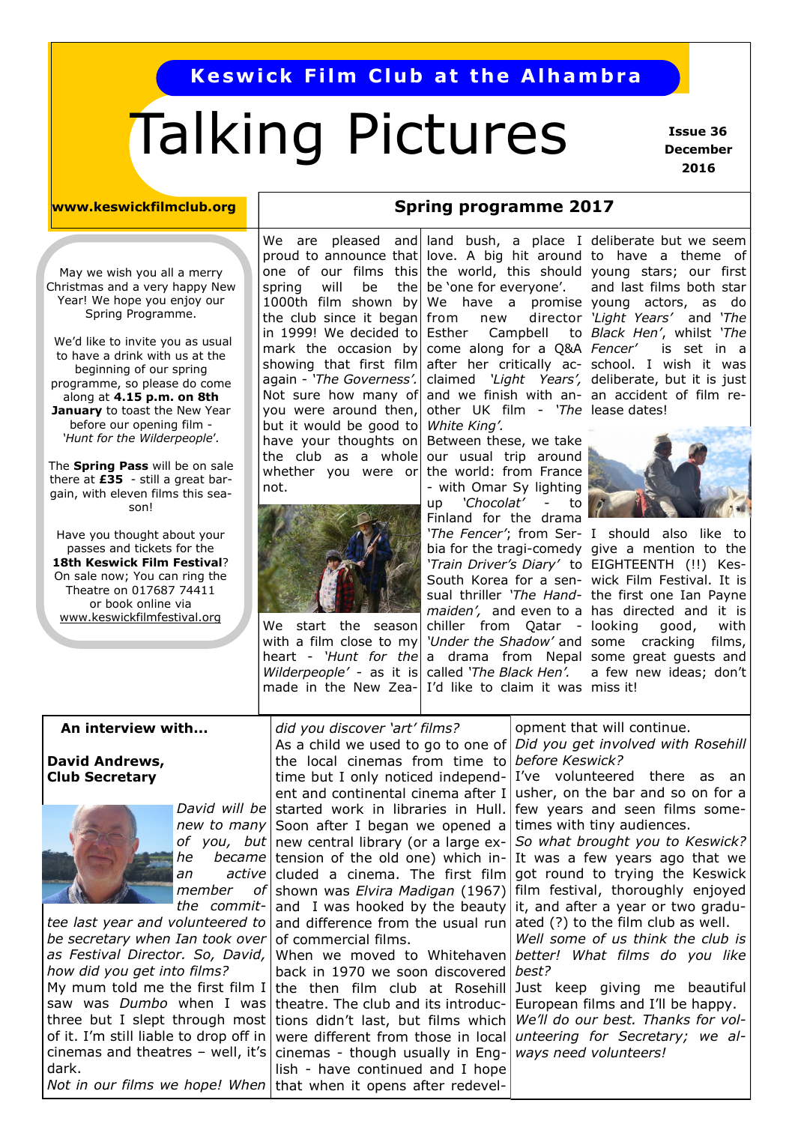# **Keswick Film Club at the Alhambra**

# Talking Pictures

 **Issue 36 December 2016**

May we wish you all a merry Christmas and a very happy New Year! We hope you enjoy our Spring Programme.

We'd like to invite you as usual to have a drink with us at the beginning of our spring programme, so please do come along at **4.15 p.m. on 8th January** to toast the New Year before our opening film - *'Hunt for the Wilderpeople*'*.* 

The **Spring Pass** will be on sale there at **£35** - still a great bargain, with eleven films this season!

Have you thought about your passes and tickets for the **18th Keswick Film Festival**? On sale now; You can ring the Theatre on 017687 74411 or book online via [www.keswickfilmfestival.org](http://www.keswickfilmfestival.org)

proud to announce that spring will be 1000th film shown by the club since it began in 1999! We decided to mark the occasion by showing that first film again - *'The Governess'.*  Not sure how many of you were around then, but it would be good to have your thoughts on the club as a whole whether you were or not.



We start the season with a film close to my heart - *'Hunt for the Wilderpeople'* - as it is made in the New Zea-

# **www.keswickfilmclub.org Notain Spring programme 2017**

We are pleased and and bush, a place I deliberate but we seem be 'one for everyone'. Esther Campbell come along for a Q&A other UK film - *'The*  lease dates! *White King'.* 

Between these, we take our usual trip around the world: from France - with Omar Sy lighting up *'Chocolat'* - to Finland for the drama *'The Fencer'*; from Ser-I should also like to called *'The Black Hen'.* I'd like to claim it was miss it!

one of our films this the world, this should young stars; our first love. A big hit around to have a theme of We have a promise young actors, as do from new director *'Light Years'* and *'The*  after her critically ac-school. I wish it was claimed *'Light Years',*  deliberate, but it is just and we finish with an-an accident of film reand last films both star *Black Hen'*, whilst *'The*  is set in a



bia for the tragi-comedy give a mention to the *'Train Driver's Diary'* to EIGHTEENTH (!!) Kes-South Korea for a sen-wick Film Festival. It is sual thriller *'The Hand-*the first one Ian Payne *maiden',* and even to a has directed and it is chiller from Qatar - looking good, with *'Under the Shadow'* and some cracking films, a drama from Nepal some great guests and a few new ideas; don't

#### **An interview with...**

**David Andrews, Club Secretary**



*David will be member of the commit-*

*tee last year and volunteered to be secretary when Ian took over as Festival Director. So, David, how did you get into films?* My mum told me the first film I saw was *Dumbo* when I was three but I slept through most of it. I'm still liable to drop off in cinemas and theatres – well, it's dark. *Not in our films we hope! When* 

*new to many*  Soon after I began we opened a *of you, but*  new central library (or a large exhe became tension of the old one) which inan active cluded a cinema. The first film *did you discover 'art' films?* As a child we used to go to one of the local cinemas from time to *before Keswick?* time but I only noticed independent and continental cinema after I started work in libraries in Hull. shown was *Elvira Madigan* (1967) and I was hooked by the beauty and difference from the usual run of commercial films.

> When we moved to Whitehaven back in 1970 we soon discovered the then film club at Rosehill theatre. The club and its introductions didn't last, but films which were different from those in local cinemas - though usually in English - have continued and I hope that when it opens after redevel-

opment that will continue.

*Did you get involved with Rosehill* 

I've volunteered there as an usher, on the bar and so on for a few years and seen films sometimes with tiny audiences.

*So what brought you to Keswick?* It was a few years ago that we got round to trying the Keswick film festival, thoroughly enjoyed it, and after a year or two graduated (?) to the film club as well.

*Well some of us think the club is better! What films do you like best?*

Just keep giving me beautiful European films and I'll be happy. *We'll do our best. Thanks for volunteering for Secretary; we always need volunteers!*